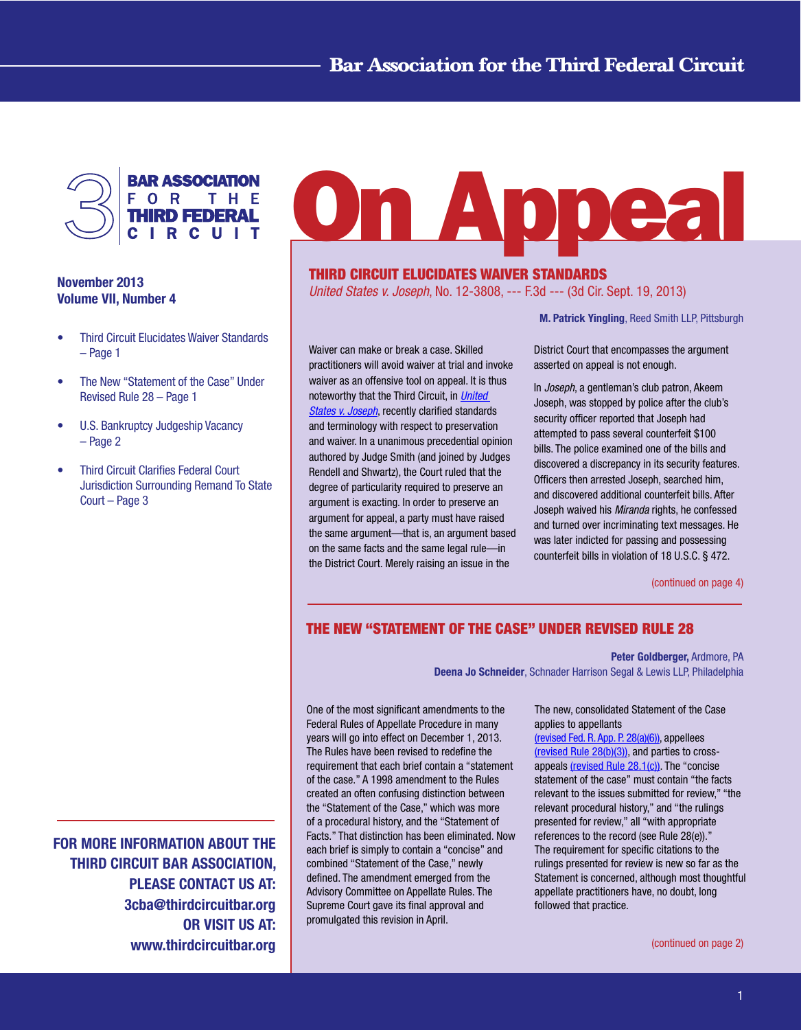

## November 2013 Volume VII, Number 4

- Third Circuit Elucidates Waiver Standards – Page 1
- The New "Statement of the Case" Under Revised Rule 28 – Page 1
- U.S. Bankruptcy Judgeship Vacancy – Page 2
- **Third Circuit Clarifies Federal Court** Jurisdiction Surrounding Remand To State Court – Page 3

FOR MORE INFORMATION ABOUT THE THIRD CIRCUIT BAR ASSOCIATION, PLEASE CONTACT US AT: 3cba@thirdcircuitbar.org OR VISIT US AT: www.thirdcircuitbar.org

# **On Appea**

# THIRD CIRCUIT ELUCIDATES WAIVER STANDARDS

*United States v. Joseph*, No. 12-3808, --- F.3d --- (3d Cir. Sept. 19, 2013)

M. Patrick Yingling, Reed Smith LLP, Pittsburgh

Waiver can make or break a case. Skilled practitioners will avoid waiver at trial and invoke waiver as an offensive tool on appeal. It is thus noteworthy that the Third Circuit, in *[United](http://www2.ca3.uscourts.gov/opinarch/123808p.pdf)  [States v. Joseph](http://www2.ca3.uscourts.gov/opinarch/123808p.pdf)*, recently clarified standards and terminology with respect to preservation and waiver. In a unanimous precedential opinion authored by Judge Smith (and joined by Judges Rendell and Shwartz), the Court ruled that the degree of particularity required to preserve an argument is exacting. In order to preserve an argument for appeal, a party must have raised the same argument—that is, an argument based on the same facts and the same legal rule—in the District Court. Merely raising an issue in the

District Court that encompasses the argument asserted on appeal is not enough.

In *Joseph*, a gentleman's club patron, Akeem Joseph, was stopped by police after the club's security officer reported that Joseph had attempted to pass several counterfeit \$100 bills. The police examined one of the bills and discovered a discrepancy in its security features. Officers then arrested Joseph, searched him, and discovered additional counterfeit bills. After Joseph waived his *Miranda* rights, he confessed and turned over incriminating text messages. He was later indicted for passing and possessing counterfeit bills in violation of 18 U.S.C. § 472.

[\(continued on page 4\)](#page-3-0)

# THE NEW "STATEMENT OF THE CASE" UNDER REVISED RULE 28

Peter Goldberger, Ardmore, PA

Deena Jo Schneider, Schnader Harrison Segal & Lewis LLP, Philadelphia

One of the most significant amendments to the Federal Rules of Appellate Procedure in many years will go into effect on December 1, 2013. The Rules have been revised to redefine the requirement that each brief contain a "statement of the case." A 1998 amendment to the Rules created an often confusing distinction between the "Statement of the Case," which was more of a procedural history, and the "Statement of Facts." That distinction has been eliminated. Now each brief is simply to contain a "concise" and combined "Statement of the Case," newly defined. The amendment emerged from the Advisory Committee on Appellate Rules. The Supreme Court gave its final approval and promulgated this revision in April.

The new, consolidated Statement of the Case applies to appellants

[\(revised Fed. R. App. P. 28\(a\)\(6\)\),](http://www.google.com/url?sa=t&rct=j&q=&esrc=s&frm=1&source=web&cd=1&cad=rja&ved=0CC4QFjAA&url=http%3A%2F%2Fwww.supremecourt.gov%2Forders%2Fcourtorders%2Ffrap13_k537.pdf&ei=-FaCUs_ZDOrK2gW22IHABA&usg=AFQjCNEc6e028ejMSIRi3cOmMxIxuIIgRA&sig2=wXk-pmILg1lafdmjah7ftw&bvm=bv.56146854,d.b2I) appellees [\(revised Rule 28\(b\)\(3\)\),](http://www.google.com/url?sa=t&rct=j&q=&esrc=s&frm=1&source=web&cd=1&cad=rja&ved=0CC4QFjAA&url=http%3A%2F%2Fwww.supremecourt.gov%2Forders%2Fcourtorders%2Ffrap13_k537.pdf&ei=-FaCUs_ZDOrK2gW22IHABA&usg=AFQjCNEc6e028ejMSIRi3cOmMxIxuIIgRA&sig2=wXk-pmILg1lafdmjah7ftw&bvm=bv.56146854,d.b2I) and parties to crossappeals [\(revised Rule 28.1\(c\)\)](http://www.google.com/url?sa=t&rct=j&q=&esrc=s&frm=1&source=web&cd=1&cad=rja&ved=0CC4QFjAA&url=http%3A%2F%2Fwww.supremecourt.gov%2Forders%2Fcourtorders%2Ffrap13_k537.pdf&ei=-FaCUs_ZDOrK2gW22IHABA&usg=AFQjCNEc6e028ejMSIRi3cOmMxIxuIIgRA&sig2=wXk-pmILg1lafdmjah7ftw&bvm=bv.56146854,d.b2I). The "concise statement of the case" must contain "the facts relevant to the issues submitted for review," "the relevant procedural history," and "the rulings presented for review," all "with appropriate references to the record (see Rule 28(e))." The requirement for specific citations to the rulings presented for review is new so far as the Statement is concerned, although most thoughtful appellate practitioners have, no doubt, long followed that practice.

[\(continued on page 2\)](#page-1-0)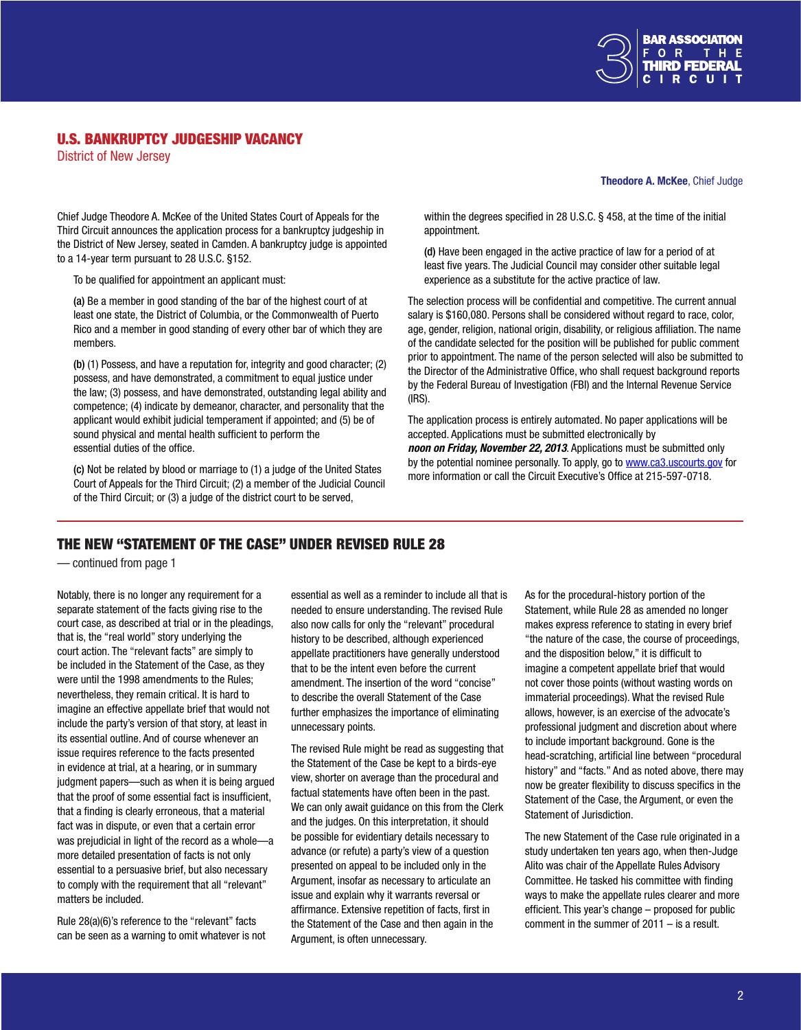

## <span id="page-1-0"></span>U.S. BANKRUPTCY JUDGESHIP VACANCY

District of New Jersey

#### Theodore A. McKee, Chief Judge

Chief Judge Theodore A. McKee of the United States Court of Appeals for the Third Circuit announces the application process for a bankruptcy judgeship in the District of New Jersey, seated in Camden. A bankruptcy judge is appointed to a 14-year term pursuant to 28 U.S.C. §152.

To be qualified for appointment an applicant must:

(a) Be a member in good standing of the bar of the highest court of at least one state, the District of Columbia, or the Commonwealth of Puerto Rico and a member in good standing of every other bar of which they are members.

(b) (1) Possess, and have a reputation for, integrity and good character; (2) possess, and have demonstrated, a commitment to equal justice under the law; (3) possess, and have demonstrated, outstanding legal ability and competence; (4) indicate by demeanor, character, and personality that the applicant would exhibit judicial temperament if appointed; and (5) be of sound physical and mental health sufficient to perform the essential duties of the office.

(c) Not be related by blood or marriage to (1) a judge of the United States Court of Appeals for the Third Circuit; (2) a member of the Judicial Council of the Third Circuit; or (3) a judge of the district court to be served,

within the degrees specified in 28 U.S.C. § 458, at the time of the initial appointment.

(d) Have been engaged in the active practice of law for a period of at least five years. The Judicial Council may consider other suitable legal experience as a substitute for the active practice of law.

The selection process will be confidential and competitive. The current annual salary is \$160,080. Persons shall be considered without regard to race, color, age, gender, religion, national origin, disability, or religious affiliation. The name of the candidate selected for the position will be published for public comment prior to appointment. The name of the person selected will also be submitted to the Director of the Administrative Office, who shall request background reports by the Federal Bureau of Investigation (FBI) and the Internal Revenue Service (IRS).

The application process is entirely automated. No paper applications will be accepted. Applications must be submitted electronically by *noon on Friday, November 22, 2013*. Applications must be submitted only by the potential nominee personally. To apply, go t[o www.ca3.uscourts.gov f](www.ca3.uscourts.gov)or more information or call the Circuit Executive's Office at 215-597-0718.

## THE NEW "STATEMENT OF THE CASE" UNDER REVISED RULE 28

— continued from page 1

Notably, there is no longer any requirement for a separate statement of the facts giving rise to the court case, as described at trial or in the pleadings, that is, the "real world" story underlying the court action. The "relevant facts" are simply to be included in the Statement of the Case, as they were until the 1998 amendments to the Rules; nevertheless, they remain critical. It is hard to imagine an effective appellate brief that would not include the party's version of that story, at least in its essential outline. And of course whenever an issue requires reference to the facts presented in evidence at trial, at a hearing, or in summary judgment papers—such as when it is being argued that the proof of some essential fact is insufficient, that a finding is clearly erroneous, that a material fact was in dispute, or even that a certain error was prejudicial in light of the record as a whole—a more detailed presentation of facts is not only essential to a persuasive brief, but also necessary to comply with the requirement that all "relevant" matters be included.

Rule 28(a)(6)'s reference to the "relevant" facts can be seen as a warning to omit whatever is not essential as well as a reminder to include all that is needed to ensure understanding. The revised Rule also now calls for only the "relevant" procedural history to be described, although experienced appellate practitioners have generally understood that to be the intent even before the current amendment. The insertion of the word "concise" to describe the overall Statement of the Case further emphasizes the importance of eliminating unnecessary points.

The revised Rule might be read as suggesting that the Statement of the Case be kept to a birds-eye view, shorter on average than the procedural and factual statements have often been in the past. We can only await guidance on this from the Clerk and the judges. On this interpretation, it should be possible for evidentiary details necessary to advance (or refute) a party's view of a question presented on appeal to be included only in the Argument, insofar as necessary to articulate an issue and explain why it warrants reversal or affirmance. Extensive repetition of facts, first in the Statement of the Case and then again in the Argument, is often unnecessary.

As for the procedural-history portion of the Statement, while Rule 28 as amended no longer makes express reference to stating in every brief "the nature of the case, the course of proceedings, and the disposition below," it is difficult to imagine a competent appellate brief that would not cover those points (without wasting words on immaterial proceedings). What the revised Rule allows, however, is an exercise of the advocate's professional judgment and discretion about where to include important background. Gone is the head-scratching, artificial line between "procedural history" and "facts." And as noted above, there may now be greater flexibility to discuss specifics in the Statement of the Case, the Argument, or even the Statement of Jurisdiction.

The new Statement of the Case rule originated in a study undertaken ten years ago, when then-Judge Alito was chair of the Appellate Rules Advisory Committee. He tasked his committee with finding ways to make the appellate rules clearer and more efficient. This year's change – proposed for public comment in the summer of 2011 – is a result.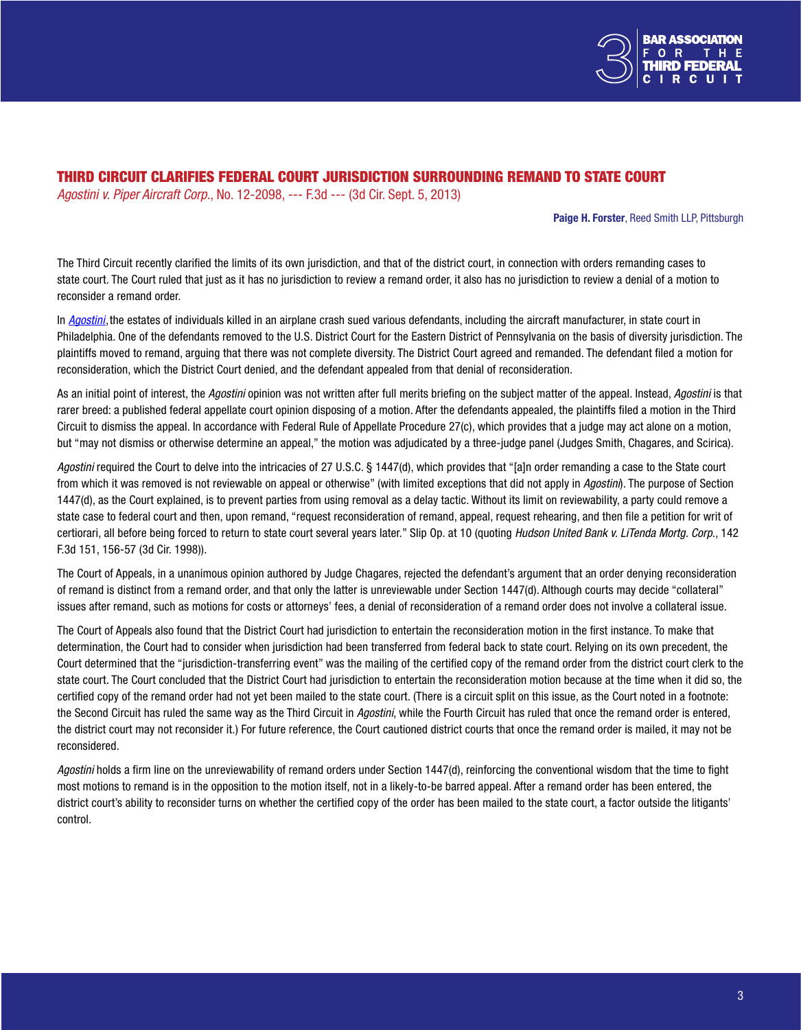

# THIRD CIRCUIT CLARIFIES FEDERAL COURT JURISDICTION SURROUNDING REMAND TO STATE COURT

*Agostini v. Piper Aircraft Corp.*, No. 12-2098, --- F.3d --- (3d Cir. Sept. 5, 2013)

#### Paige H. Forster, Reed Smith LLP, Pittsburgh

The Third Circuit recently clarified the limits of its own jurisdiction, and that of the district court, in connection with orders remanding cases to state court. The Court ruled that just as it has no jurisdiction to review a remand order, it also has no jurisdiction to review a denial of a motion to reconsider a remand order.

In *[Agostini](http://www2.ca3.uscourts.gov/opinarch/122098p.pdf)*,the estates of individuals killed in an airplane crash sued various defendants, including the aircraft manufacturer, in state court in Philadelphia. One of the defendants removed to the U.S. District Court for the Eastern District of Pennsylvania on the basis of diversity jurisdiction. The plaintiffs moved to remand, arguing that there was not complete diversity. The District Court agreed and remanded. The defendant filed a motion for reconsideration, which the District Court denied, and the defendant appealed from that denial of reconsideration.

As an initial point of interest, the *Agostini* opinion was not written after full merits briefing on the subject matter of the appeal. Instead, *Agostini* is that rarer breed: a published federal appellate court opinion disposing of a motion. After the defendants appealed, the plaintiffs filed a motion in the Third Circuit to dismiss the appeal. In accordance with Federal Rule of Appellate Procedure 27(c), which provides that a judge may act alone on a motion, but "may not dismiss or otherwise determine an appeal," the motion was adjudicated by a three-judge panel (Judges Smith, Chagares, and Scirica).

*Agostini* required the Court to delve into the intricacies of 27 U.S.C. § 1447(d), which provides that "[a]n order remanding a case to the State court from which it was removed is not reviewable on appeal or otherwise" (with limited exceptions that did not apply in *Agostini*). The purpose of Section 1447(d), as the Court explained, is to prevent parties from using removal as a delay tactic. Without its limit on reviewability, a party could remove a state case to federal court and then, upon remand, "request reconsideration of remand, appeal, request rehearing, and then file a petition for writ of certiorari, all before being forced to return to state court several years later." Slip Op. at 10 (quoting *Hudson United Bank v. LiTenda Mortg. Corp*., 142 F.3d 151, 156-57 (3d Cir. 1998)).

The Court of Appeals, in a unanimous opinion authored by Judge Chagares, rejected the defendant's argument that an order denying reconsideration of remand is distinct from a remand order, and that only the latter is unreviewable under Section 1447(d). Although courts may decide "collateral" issues after remand, such as motions for costs or attorneys' fees, a denial of reconsideration of a remand order does not involve a collateral issue.

The Court of Appeals also found that the District Court had jurisdiction to entertain the reconsideration motion in the first instance. To make that determination, the Court had to consider when jurisdiction had been transferred from federal back to state court. Relying on its own precedent, the Court determined that the "jurisdiction-transferring event" was the mailing of the certified copy of the remand order from the district court clerk to the state court. The Court concluded that the District Court had jurisdiction to entertain the reconsideration motion because at the time when it did so, the certified copy of the remand order had not yet been mailed to the state court. (There is a circuit split on this issue, as the Court noted in a footnote: the Second Circuit has ruled the same way as the Third Circuit in *Agostini*, while the Fourth Circuit has ruled that once the remand order is entered, the district court may not reconsider it.) For future reference, the Court cautioned district courts that once the remand order is mailed, it may not be reconsidered.

*Agostini* holds a firm line on the unreviewability of remand orders under Section 1447(d), reinforcing the conventional wisdom that the time to fight most motions to remand is in the opposition to the motion itself, not in a likely-to-be barred appeal. After a remand order has been entered, the district court's ability to reconsider turns on whether the certified copy of the order has been mailed to the state court, a factor outside the litigants' control.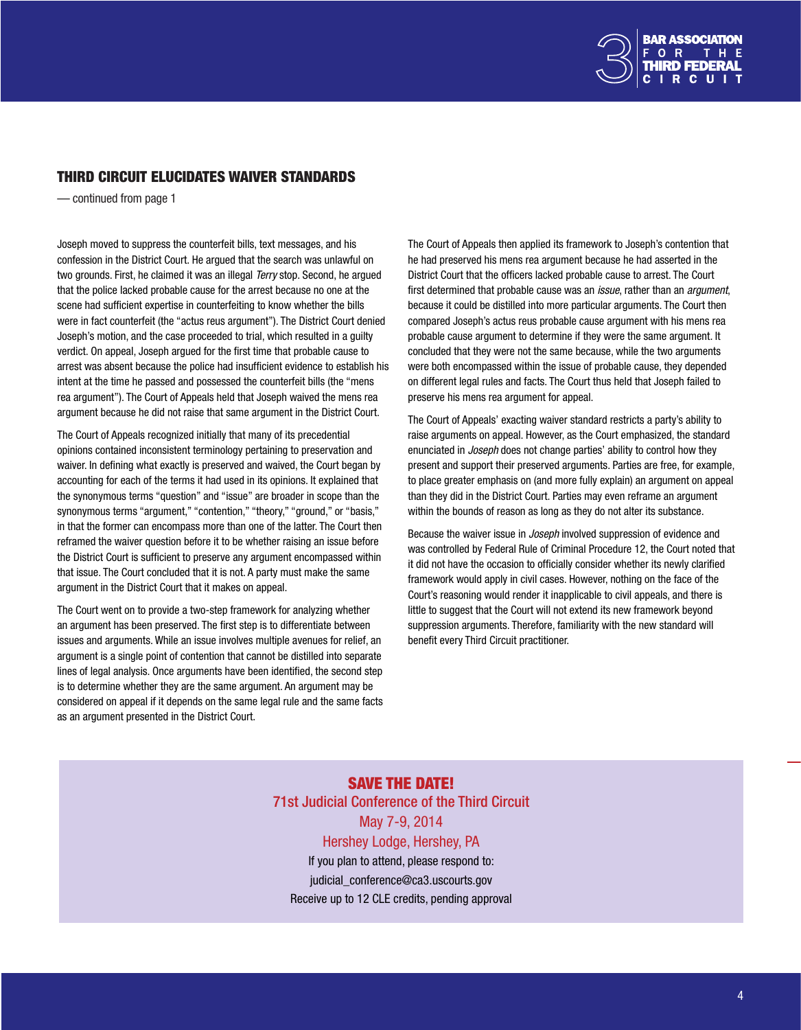

# <span id="page-3-0"></span>THIRD CIRCUIT ELUCIDATES WAIVER STANDARDS

— continued from page 1

Joseph moved to suppress the counterfeit bills, text messages, and his confession in the District Court. He argued that the search was unlawful on two grounds. First, he claimed it was an illegal *Terry* stop. Second, he argued that the police lacked probable cause for the arrest because no one at the scene had sufficient expertise in counterfeiting to know whether the bills were in fact counterfeit (the "actus reus argument"). The District Court denied Joseph's motion, and the case proceeded to trial, which resulted in a guilty verdict. On appeal, Joseph argued for the first time that probable cause to arrest was absent because the police had insufficient evidence to establish his intent at the time he passed and possessed the counterfeit bills (the "mens rea argument"). The Court of Appeals held that Joseph waived the mens rea argument because he did not raise that same argument in the District Court.

The Court of Appeals recognized initially that many of its precedential opinions contained inconsistent terminology pertaining to preservation and waiver. In defining what exactly is preserved and waived, the Court began by accounting for each of the terms it had used in its opinions. It explained that the synonymous terms "question" and "issue" are broader in scope than the synonymous terms "argument," "contention," "theory," "ground," or "basis," in that the former can encompass more than one of the latter. The Court then reframed the waiver question before it to be whether raising an issue before the District Court is sufficient to preserve any argument encompassed within that issue. The Court concluded that it is not. A party must make the same argument in the District Court that it makes on appeal.

The Court went on to provide a two-step framework for analyzing whether an argument has been preserved. The first step is to differentiate between issues and arguments. While an issue involves multiple avenues for relief, an argument is a single point of contention that cannot be distilled into separate lines of legal analysis. Once arguments have been identified, the second step is to determine whether they are the same argument. An argument may be considered on appeal if it depends on the same legal rule and the same facts as an argument presented in the District Court.

The Court of Appeals then applied its framework to Joseph's contention that he had preserved his mens rea argument because he had asserted in the District Court that the officers lacked probable cause to arrest. The Court first determined that probable cause was an *issue*, rather than an *argument*, because it could be distilled into more particular arguments. The Court then compared Joseph's actus reus probable cause argument with his mens rea probable cause argument to determine if they were the same argument. It concluded that they were not the same because, while the two arguments were both encompassed within the issue of probable cause, they depended on different legal rules and facts. The Court thus held that Joseph failed to preserve his mens rea argument for appeal.

The Court of Appeals' exacting waiver standard restricts a party's ability to raise arguments on appeal. However, as the Court emphasized, the standard enunciated in *Joseph* does not change parties' ability to control how they present and support their preserved arguments. Parties are free, for example, to place greater emphasis on (and more fully explain) an argument on appeal than they did in the District Court. Parties may even reframe an argument within the bounds of reason as long as they do not alter its substance.

Because the waiver issue in *Joseph* involved suppression of evidence and was controlled by Federal Rule of Criminal Procedure 12, the Court noted that it did not have the occasion to officially consider whether its newly clarified framework would apply in civil cases. However, nothing on the face of the Court's reasoning would render it inapplicable to civil appeals, and there is little to suggest that the Court will not extend its new framework beyond suppression arguments. Therefore, familiarity with the new standard will benefit every Third Circuit practitioner.

SAVE THE DATE! 71st Judicial Conference of the Third Circuit May 7-9, 2014 Hershey Lodge, Hershey, PA If you plan to attend, please respond to: judicial\_conference@ca3.uscourts.gov Receive up to 12 CLE credits, pending approval